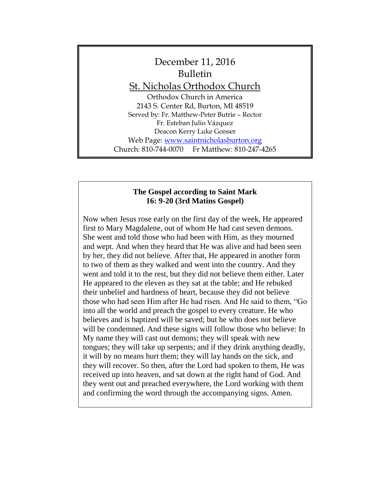

### **The Gospel according to Saint Mark 16: 9-20 (3rd Matins Gospel)**

Now when Jesus rose early on the first day of the week, He appeared first to Mary Magdalene, out of whom He had cast seven demons. She went and told those who had been with Him, as they mourned and wept. And when they heard that He was alive and had been seen by her, they did not believe. After that, He appeared in another form to two of them as they walked and went into the country. And they went and told it to the rest, but they did not believe them either. Later He appeared to the eleven as they sat at the table; and He rebuked their unbelief and hardness of heart, because they did not believe those who had seen Him after He had risen. And He said to them, "Go into all the world and preach the gospel to every creature. He who believes and is baptized will be saved; but he who does not believe will be condemned. And these signs will follow those who believe: In My name they will cast out demons; they will speak with new tongues; they will take up serpents; and if they drink anything deadly, it will by no means hurt them; they will lay hands on the sick, and they will recover. So then, after the Lord had spoken to them, He was received up into heaven, and sat down at the right hand of God. And they went out and preached everywhere, the Lord working with them and confirming the word through the accompanying signs. Amen.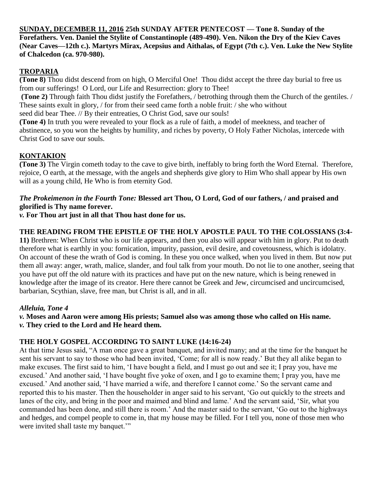**SUNDAY, DECEMBER 11, 2016 25th SUNDAY AFTER PENTECOST — Tone 8. Sunday of the Forefathers. Ven. Daniel the Stylite of Constantinople (489-490). Ven. Nikon the Dry of the Kiev Caves (Near Caves—12th c.). Martyrs Mirax, Acepsius and Aithalas, of Egypt (7th c.). Ven. Luke the New Stylite of Chalcedon (ca. 970-980).**

## **TROPARIA**

**(Tone 8)** Thou didst descend from on high, O Merciful One! Thou didst accept the three day burial to free us from our sufferings! O Lord, our Life and Resurrection: glory to Thee!

**(Tone 2)** Through faith Thou didst justify the Forefathers, / betrothing through them the Church of the gentiles. / These saints exult in glory, / for from their seed came forth a noble fruit: / she who without seed did bear Thee. // By their entreaties, O Christ God, save our souls!

**(Tone 4)** In truth you were revealed to your flock as a rule of faith, a model of meekness, and teacher of abstinence, so you won the heights by humility, and riches by poverty, O Holy Father Nicholas, intercede with Christ God to save our souls.

# **KONTAKION**

**(Tone 3)** The Virgin cometh today to the cave to give birth, ineffably to bring forth the Word Eternal. Therefore, rejoice, O earth, at the message, with the angels and shepherds give glory to Him Who shall appear by His own will as a young child, He Who is from eternity God.

### *The Prokeimenon in the Fourth Tone:* **Blessed art Thou, O Lord, God of our fathers, / and praised and glorified is Thy name forever.**

*v.* **For Thou art just in all that Thou hast done for us.**

# **THE READING FROM THE EPISTLE OF THE HOLY APOSTLE PAUL TO THE COLOSSIANS (3:4-**

**11)** Brethren: When Christ who is our life appears, and then you also will appear with him in glory. Put to death therefore what is earthly in you: fornication, impurity, passion, evil desire, and covetousness, which is idolatry. On account of these the wrath of God is coming. In these you once walked, when you lived in them. But now put them all away: anger, wrath, malice, slander, and foul talk from your mouth. Do not lie to one another, seeing that you have put off the old nature with its practices and have put on the new nature, which is being renewed in knowledge after the image of its creator. Here there cannot be Greek and Jew, circumcised and uncircumcised, barbarian, Scythian, slave, free man, but Christ is all, and in all.

# *Alleluia, Tone 4*

*v.* **Moses and Aaron were among His priests; Samuel also was among those who called on His name.** *v.* **They cried to the Lord and He heard them.**

# **THE HOLY GOSPEL ACCORDING TO SAINT LUKE (14:16-24)**

At that time Jesus said, "A man once gave a great banquet, and invited many; and at the time for the banquet he sent his servant to say to those who had been invited, 'Come; for all is now ready.' But they all alike began to make excuses. The first said to him, 'I have bought a field, and I must go out and see it; I pray you, have me excused.' And another said, 'I have bought five yoke of oxen, and I go to examine them; I pray you, have me excused.' And another said, 'I have married a wife, and therefore I cannot come.' So the servant came and reported this to his master. Then the householder in anger said to his servant, 'Go out quickly to the streets and lanes of the city, and bring in the poor and maimed and blind and lame.' And the servant said, 'Sir, what you commanded has been done, and still there is room.' And the master said to the servant, 'Go out to the highways and hedges, and compel people to come in, that my house may be filled. For I tell you, none of those men who were invited shall taste my banquet."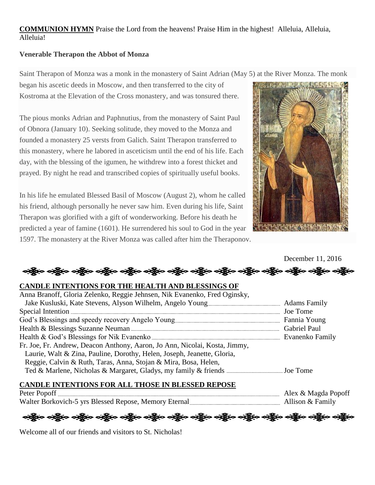# **COMMUNION HYMN** Praise the Lord from the heavens! Praise Him in the highest! Alleluia, Alleluia, Alleluia!

### **Venerable Therapon the Abbot of Monza**

Saint Therapon of Monza was a monk in the monastery of Saint Adrian (May 5) at the River Monza. The monk

began his ascetic deeds in Moscow, and then transferred to the city of Kostroma at the Elevation of the Cross monastery, and was tonsured there.

The pious monks Adrian and Paphnutius, from the monastery of Saint Paul of Obnora (January 10). Seeking solitude, they moved to the Monza and founded a monastery 25 versts from Galich. Saint Therapon transferred to this monastery, where he labored in asceticism until the end of his life. Each day, with the blessing of the igumen, he withdrew into a forest thicket and prayed. By night he read and transcribed copies of spiritually useful books.

In his life he emulated Blessed Basil of Moscow (August 2), whom he called his friend, although personally he never saw him. Even during his life, Saint Therapon was glorified with a gift of wonderworking. Before his death he predicted a year of famine (1601). He surrendered his soul to God in the year 1597. The monastery at the River Monza was called after him the Theraponov.



December 11, 2016

### **CANDLE INTENTIONS FOR THE HEALTH AND BLESSINGS OF**

# **CANDLE INTENTIONS FOR ALL THOSE IN BLESSED REPOSE**

Peter Popoff Alex & Magda Popoff Walter Borkovich-5 yrs Blessed Repose, Memory Eternal Allison and Allison & Family

ဆဲခြီးစ ခရွိပ် ခရိုပ် ခရိုပ် ခရိုပ် ခရိုပ် ခရိုပ် ခရိုပ် ခရိုပ် ခရိုပ် ခရိုပ် ခရိုပ် ခရိုပ် ခရိုပ် ခရိုပ် ခရို

Welcome all of our friends and visitors to St. Nicholas!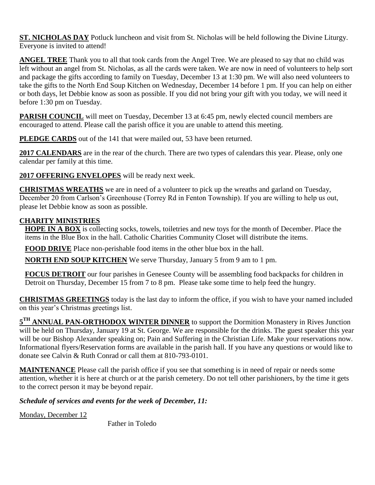**ST. NICHOLAS DAY** Potluck luncheon and visit from St. Nicholas will be held following the Divine Liturgy. Everyone is invited to attend!

**ANGEL TREE** Thank you to all that took cards from the Angel Tree. We are pleased to say that no child was left without an angel from St. Nicholas, as all the cards were taken. We are now in need of volunteers to help sort and package the gifts according to family on Tuesday, December 13 at 1:30 pm. We will also need volunteers to take the gifts to the North End Soup Kitchen on Wednesday, December 14 before 1 pm. If you can help on either or both days, let Debbie know as soon as possible. If you did not bring your gift with you today, we will need it before 1:30 pm on Tuesday.

**PARISH COUNCIL** will meet on Tuesday, December 13 at 6:45 pm, newly elected council members are encouraged to attend. Please call the parish office it you are unable to attend this meeting.

**PLEDGE CARDS** out of the 141 that were mailed out, 53 have been returned.

**2017 CALENDARS** are in the rear of the church. There are two types of calendars this year. Please, only one calendar per family at this time.

**2017 OFFERING ENVELOPES** will be ready next week.

**CHRISTMAS WREATHS** we are in need of a volunteer to pick up the wreaths and garland on Tuesday, December 20 from Carlson's Greenhouse (Torrey Rd in Fenton Township). If you are willing to help us out, please let Debbie know as soon as possible.

## **CHARITY MINISTRIES**

**HOPE IN A BOX** is collecting socks, towels, toiletries and new toys for the month of December. Place the items in the Blue Box in the hall. Catholic Charities Community Closet will distribute the items.

**FOOD DRIVE** Place non-perishable food items in the other blue box in the hall.

**NORTH END SOUP KITCHEN** We serve Thursday, January 5 from 9 am to 1 pm.

**FOCUS DETROIT** our four parishes in Genesee County will be assembling food backpacks for children in Detroit on Thursday, December 15 from 7 to 8 pm. Please take some time to help feed the hungry.

**CHRISTMAS GREETINGS** today is the last day to inform the office, if you wish to have your named included on this year's Christmas greetings list.

5<sup>TH</sup> ANNUAL PAN-ORTHODOX WINTER DINNER to support the Dormition Monastery in Rives Junction will be held on Thursday, January 19 at St. George. We are responsible for the drinks. The guest speaker this year will be our Bishop Alexander speaking on; Pain and Suffering in the Christian Life. Make your reservations now. Informational flyers/Reservation forms are available in the parish hall. If you have any questions or would like to donate see Calvin & Ruth Conrad or call them at 810-793-0101.

**MAINTENANCE** Please call the parish office if you see that something is in need of repair or needs some attention, whether it is here at church or at the parish cemetery. Do not tell other parishioners, by the time it gets to the correct person it may be beyond repair.

*Schedule of services and events for the week of December, 11:*

Monday, December 12

Father in Toledo